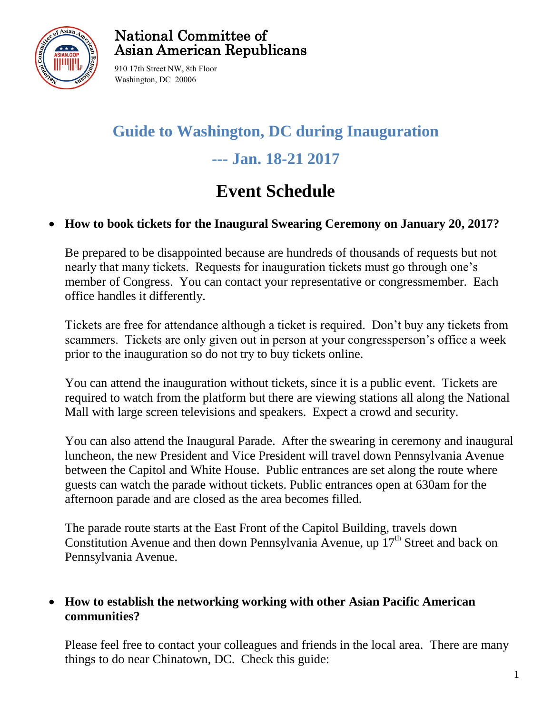

### National Committee of Asian American Republicans

910 17th Street NW, 8th Floor Washington, DC 20006

# **Guide to Washington, DC during Inauguration --- Jan. 18-21 2017**

## **Event Schedule**

### **How to book tickets for the Inaugural Swearing Ceremony on January 20, 2017?**

Be prepared to be disappointed because are hundreds of thousands of requests but not nearly that many tickets. Requests for inauguration tickets must go through one's member of Congress. You can contact your representative or congressmember. Each office handles it differently.

Tickets are free for attendance although a ticket is required. Don't buy any tickets from scammers. Tickets are only given out in person at your congressperson's office a week prior to the inauguration so do not try to buy tickets online.

You can attend the inauguration without tickets, since it is a public event. Tickets are required to watch from the platform but there are viewing stations all along the National Mall with large screen televisions and speakers. Expect a crowd and security.

You can also attend the Inaugural Parade. After the swearing in ceremony and inaugural luncheon, the new President and Vice President will travel down Pennsylvania Avenue between the Capitol and White House. Public entrances are set along the route where guests can watch the parade without tickets. Public entrances open at 630am for the afternoon parade and are closed as the area becomes filled.

The parade route starts at the East Front of the Capitol Building, travels down Constitution Avenue and then down Pennsylvania Avenue, up  $17<sup>th</sup>$  Street and back on Pennsylvania Avenue.

### **How to establish the networking working with other Asian Pacific American communities?**

Please feel free to contact your colleagues and friends in the local area. There are many things to do near Chinatown, DC. Check this guide: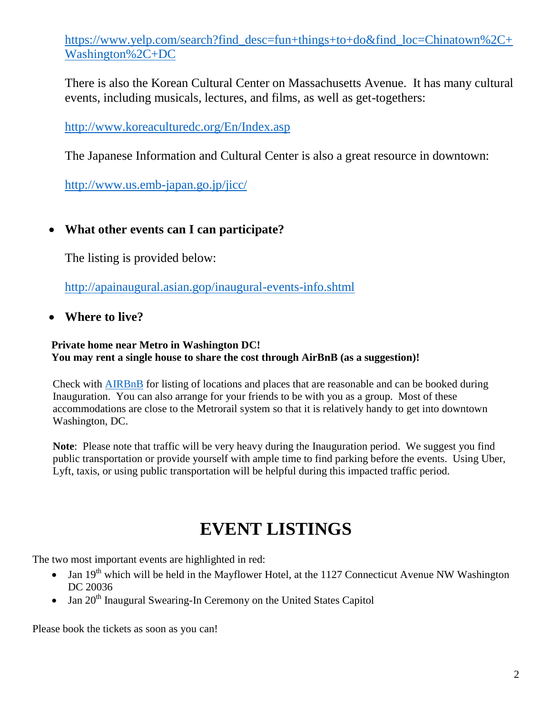[https://www.yelp.com/search?find\\_desc=fun+things+to+do&find\\_loc=Chinatown%2C+](https://www.yelp.com/search?find_desc=fun+things+to+do&find_loc=Chinatown%2C+Washington%2C+DC) [Washington%2C+DC](https://www.yelp.com/search?find_desc=fun+things+to+do&find_loc=Chinatown%2C+Washington%2C+DC)

There is also the Korean Cultural Center on Massachusetts Avenue. It has many cultural events, including musicals, lectures, and films, as well as get-togethers:

<http://www.koreaculturedc.org/En/Index.asp>

The Japanese Information and Cultural Center is also a great resource in downtown:

<http://www.us.emb-japan.go.jp/jicc/>

### **What other events can I can participate?**

The listing is provided below:

<http://apainaugural.asian.gop/inaugural-events-info.shtml>

**Where to live?** 

#### **Private home near Metro in Washington DC! You may rent a single house to share the cost through AirBnB (as a suggestion)!**

Check with [AIRBnB](https://www.airbnb.com/) for listing of locations and places that are reasonable and can be booked during Inauguration. You can also arrange for your friends to be with you as a group. Most of these accommodations are close to the Metrorail system so that it is relatively handy to get into downtown Washington, DC.

**Note**: Please note that traffic will be very heavy during the Inauguration period. We suggest you find public transportation or provide yourself with ample time to find parking before the events. Using Uber, Lyft, taxis, or using public transportation will be helpful during this impacted traffic period.

## **EVENT LISTINGS**

The two most important events are highlighted in red:

- Jan  $19<sup>th</sup>$  which will be held in the Mayflower Hotel, at the 1127 Connecticut Avenue NW Washington DC 20036
- $\bullet$  Jan 20<sup>th</sup> Inaugural Swearing-In Ceremony on the United States Capitol

Please book the tickets as soon as you can!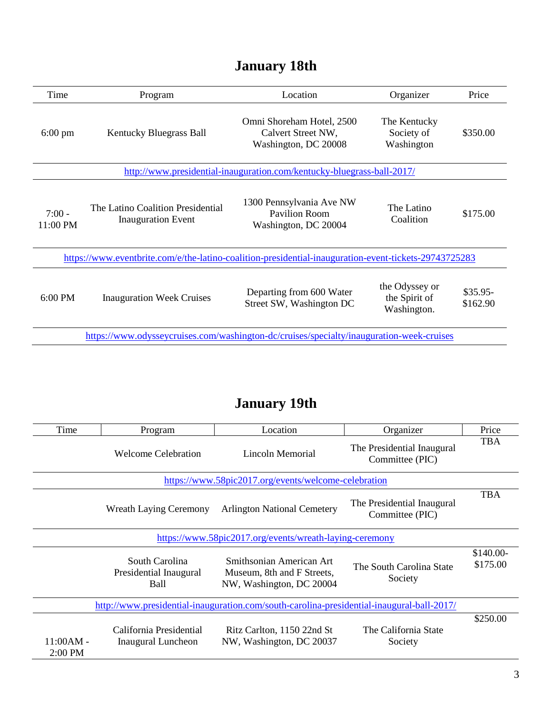| January 18th |  |
|--------------|--|
|--------------|--|

| Time                 | Program                                                                                               | Location                                                                | Organizer                                      | Price                 |
|----------------------|-------------------------------------------------------------------------------------------------------|-------------------------------------------------------------------------|------------------------------------------------|-----------------------|
| $6:00 \text{ pm}$    | Kentucky Bluegrass Ball                                                                               | Omni Shoreham Hotel, 2500<br>Calvert Street NW,<br>Washington, DC 20008 | The Kentucky<br>Society of<br>Washington       | \$350.00              |
|                      |                                                                                                       | http://www.presidential-inauguration.com/kentucky-bluegrass-ball-2017/  |                                                |                       |
| $7:00 -$<br>11:00 PM | The Latino Coalition Presidential<br><b>Inauguration Event</b>                                        | 1300 Pennsylvania Ave NW<br>Pavilion Room<br>Washington, DC 20004       | The Latino<br>Coalition                        | \$175.00              |
|                      | https://www.eventbrite.com/e/the-latino-coalition-presidential-inauguration-event-tickets-29743725283 |                                                                         |                                                |                       |
| $6:00$ PM            | <b>Inauguration Week Cruises</b>                                                                      | Departing from 600 Water<br>Street SW, Washington DC                    | the Odyssey or<br>the Spirit of<br>Washington. | $$35.95-$<br>\$162.90 |
|                      | https://www.odysseycruises.com/washington-dc/cruises/specialty/inauguration-week-cruises              |                                                                         |                                                |                       |

## **January 19th**

| Time                          | Program                                                 | Location                                                                                  | Organizer                                     | Price                 |
|-------------------------------|---------------------------------------------------------|-------------------------------------------------------------------------------------------|-----------------------------------------------|-----------------------|
| <b>Welcome Celebration</b>    |                                                         | Lincoln Memorial                                                                          | The Presidential Inaugural<br>Committee (PIC) | <b>TBA</b>            |
|                               |                                                         | https://www.58pic2017.org/events/welcome-celebration                                      |                                               |                       |
| <b>Wreath Laying Ceremony</b> |                                                         | <b>Arlington National Cemetery</b>                                                        | The Presidential Inaugural<br>Committee (PIC) | <b>TBA</b>            |
|                               | https://www.58pic2017.org/events/wreath-laying-ceremony |                                                                                           |                                               |                       |
|                               | South Carolina<br>Presidential Inaugural<br>Ball        | Smithsonian American Art<br>Museum, 8th and F Streets,<br>NW, Washington, DC 20004        | The South Carolina State<br>Society           | \$140.00-<br>\$175.00 |
|                               |                                                         | http://www.presidential-inauguration.com/south-carolina-presidential-inaugural-ball-2017/ |                                               |                       |
| $11:00AM -$<br>$2:00$ PM      | California Presidential<br>Inaugural Luncheon           | Ritz Carlton, 1150 22nd St<br>NW, Washington, DC 20037                                    | The California State<br>Society               | \$250.00              |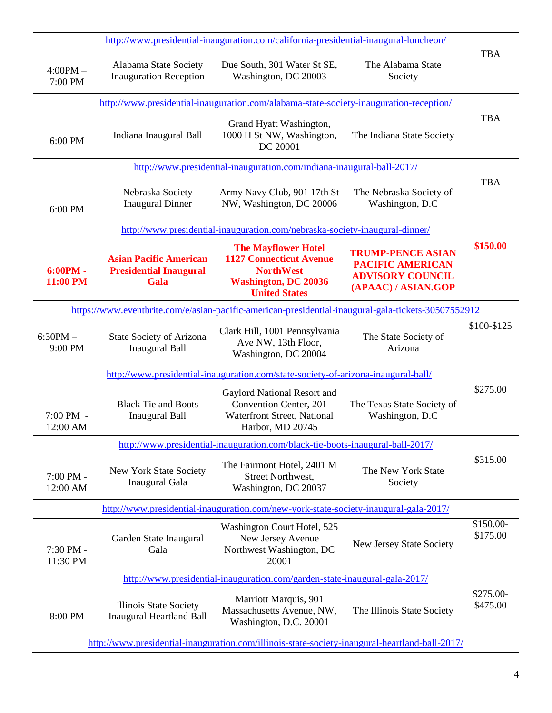| http://www.presidential-inauguration.com/california-presidential-inaugural-luncheon/           |                                                                        |                                                                                                                                         |                                                                                                       |                       |
|------------------------------------------------------------------------------------------------|------------------------------------------------------------------------|-----------------------------------------------------------------------------------------------------------------------------------------|-------------------------------------------------------------------------------------------------------|-----------------------|
| $4:00PM -$<br>7:00 PM                                                                          | Alabama State Society<br><b>Inauguration Reception</b>                 | Due South, 301 Water St SE,<br>Washington, DC 20003                                                                                     | The Alabama State<br>Society                                                                          | <b>TBA</b>            |
| http://www.presidential-inauguration.com/alabama-state-society-inauguration-reception/         |                                                                        |                                                                                                                                         |                                                                                                       |                       |
| 6:00 PM                                                                                        | Indiana Inaugural Ball                                                 | Grand Hyatt Washington,<br>1000 H St NW, Washington,<br>DC 20001                                                                        | The Indiana State Society                                                                             | <b>TBA</b>            |
|                                                                                                |                                                                        | http://www.presidential-inauguration.com/indiana-inaugural-ball-2017/                                                                   |                                                                                                       |                       |
| 6:00 PM                                                                                        | Nebraska Society<br><b>Inaugural Dinner</b>                            | Army Navy Club, 901 17th St<br>NW, Washington, DC 20006                                                                                 | The Nebraska Society of<br>Washington, D.C                                                            | <b>TBA</b>            |
|                                                                                                |                                                                        | http://www.presidential-inauguration.com/nebraska-society-inaugural-dinner/                                                             |                                                                                                       |                       |
| $6:00PM -$<br>11:00 PM                                                                         | <b>Asian Pacific American</b><br><b>Presidential Inaugural</b><br>Gala | <b>The Mayflower Hotel</b><br><b>1127 Connecticut Avenue</b><br><b>NorthWest</b><br><b>Washington, DC 20036</b><br><b>United States</b> | <b>TRUMP-PENCE ASIAN</b><br><b>PACIFIC AMERICAN</b><br><b>ADVISORY COUNCIL</b><br>(APAAC) / ASIAN.GOP | \$150.00              |
|                                                                                                |                                                                        | https://www.eventbrite.com/e/asian-pacific-american-presidential-inaugural-gala-tickets-30507552912                                     |                                                                                                       |                       |
| $6:30PM -$<br>9:00 PM                                                                          | <b>State Society of Arizona</b><br><b>Inaugural Ball</b>               | Clark Hill, 1001 Pennsylvania<br>Ave NW, 13th Floor,<br>Washington, DC 20004                                                            | The State Society of<br>Arizona                                                                       | \$100-\$125           |
|                                                                                                |                                                                        | http://www.presidential-inauguration.com/state-society-of-arizona-inaugural-ball/                                                       |                                                                                                       |                       |
| $7:00$ PM $-$<br>12:00 AM                                                                      | <b>Black Tie and Boots</b><br><b>Inaugural Ball</b>                    | Gaylord National Resort and<br>Convention Center, 201<br>Waterfront Street, National<br>Harbor, MD 20745                                | The Texas State Society of<br>Washington, D.C.                                                        | \$275.00              |
|                                                                                                |                                                                        | http://www.presidential-inauguration.com/black-tie-boots-inaugural-ball-2017/                                                           |                                                                                                       |                       |
| 7:00 PM -<br>12:00 AM                                                                          | New York State Society<br>Inaugural Gala                               | The Fairmont Hotel, 2401 M<br>Street Northwest,<br>Washington, DC 20037                                                                 | The New York State<br>Society                                                                         | \$315.00              |
|                                                                                                |                                                                        | http://www.presidential-inauguration.com/new-york-state-society-inaugural-gala-2017/                                                    |                                                                                                       |                       |
| 7:30 PM -<br>11:30 PM                                                                          | Garden State Inaugural<br>Gala                                         | Washington Court Hotel, 525<br>New Jersey Avenue<br>Northwest Washington, DC<br>20001                                                   | New Jersey State Society                                                                              | \$150.00-<br>\$175.00 |
|                                                                                                |                                                                        | http://www.presidential-inauguration.com/garden-state-inaugural-gala-2017/                                                              |                                                                                                       |                       |
| 8:00 PM                                                                                        | Illinois State Society<br><b>Inaugural Heartland Ball</b>              | Marriott Marquis, 901<br>Massachusetts Avenue, NW,<br>Washington, D.C. 20001                                                            | The Illinois State Society                                                                            | \$275.00-<br>\$475.00 |
| http://www.presidential-inauguration.com/illinois-state-society-inaugural-heartland-ball-2017/ |                                                                        |                                                                                                                                         |                                                                                                       |                       |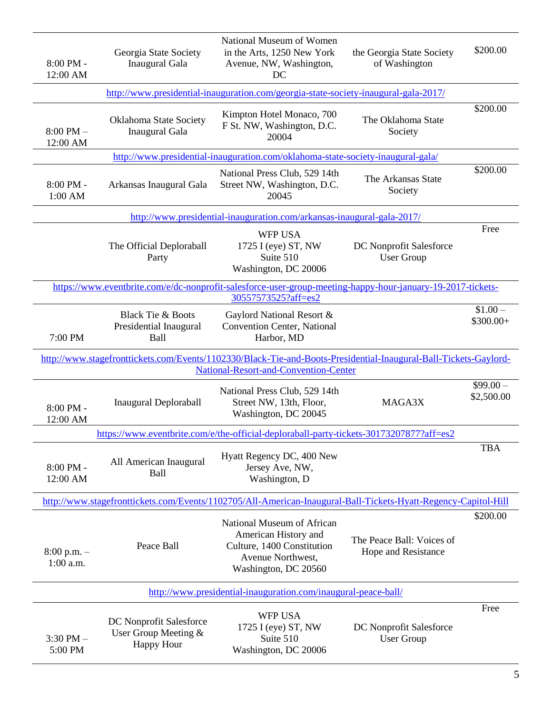| $8:00$ PM -<br>12:00 AM                                                             | Georgia State Society<br>Inaugural Gala                              | National Museum of Women<br>in the Arts, 1250 New York<br>Avenue, NW, Washington,<br>DC                                                                   | the Georgia State Society<br>of Washington       | \$200.00                |
|-------------------------------------------------------------------------------------|----------------------------------------------------------------------|-----------------------------------------------------------------------------------------------------------------------------------------------------------|--------------------------------------------------|-------------------------|
| http://www.presidential-inauguration.com/georgia-state-society-inaugural-gala-2017/ |                                                                      |                                                                                                                                                           |                                                  |                         |
| $8:00$ PM $-$<br>12:00 AM                                                           | Oklahoma State Society<br>Inaugural Gala                             | Kimpton Hotel Monaco, 700<br>F St. NW, Washington, D.C.<br>20004                                                                                          | The Oklahoma State<br>Society                    | \$200.00                |
|                                                                                     |                                                                      | http://www.presidential-inauguration.com/oklahoma-state-society-inaugural-gala/                                                                           |                                                  |                         |
| $8:00$ PM -<br>$1:00$ AM                                                            | Arkansas Inaugural Gala                                              | National Press Club, 529 14th<br>Street NW, Washington, D.C.<br>20045                                                                                     | The Arkansas State<br>Society                    | \$200.00                |
|                                                                                     |                                                                      | http://www.presidential-inauguration.com/arkansas-inaugural-gala-2017/                                                                                    |                                                  |                         |
|                                                                                     | The Official Deploraball<br>Party                                    | <b>WFP USA</b><br>1725 I (eye) ST, NW<br>Suite 510<br>Washington, DC 20006                                                                                | DC Nonprofit Salesforce<br><b>User Group</b>     | Free                    |
|                                                                                     |                                                                      | https://www.eventbrite.com/e/dc-nonprofit-salesforce-user-group-meeting-happy-hour-january-19-2017-tickets-<br>30557573525?aff=es2                        |                                                  |                         |
| 7:00 PM                                                                             | <b>Black Tie &amp; Boots</b><br>Presidential Inaugural<br>Ball       | Gaylord National Resort &<br>Convention Center, National<br>Harbor, MD                                                                                    |                                                  | $$1.00 -$<br>$$300.00+$ |
|                                                                                     |                                                                      | http://www.stagefronttickets.com/Events/1102330/Black-Tie-and-Boots-Presidential-Inaugural-Ball-Tickets-Gaylord-<br>National-Resort-and-Convention-Center |                                                  |                         |
| $8:00$ PM -<br>12:00 AM                                                             | <b>Inaugural Deploraball</b>                                         | National Press Club, 529 14th<br>Street NW, 13th, Floor,<br>Washington, DC 20045                                                                          | MAGA3X                                           | $$99.00-$<br>\$2,500.00 |
|                                                                                     |                                                                      | https://www.eventbrite.com/e/the-official-deploraball-party-tickets-30173207877?aff=es2                                                                   |                                                  |                         |
| $8:00$ PM -<br>12:00 AM                                                             | All American Inaugural<br>Ball                                       | Hyatt Regency DC, 400 New<br>Jersey Ave, NW,<br>Washington, D                                                                                             |                                                  | <b>TBA</b>              |
|                                                                                     |                                                                      | http://www.stagefronttickets.com/Events/1102705/All-American-Inaugural-Ball-Tickets-Hyatt-Regency-Capitol-Hill                                            |                                                  |                         |
| $8:00$ p.m. $-$<br>$1:00$ a.m.                                                      | Peace Ball                                                           | National Museum of African<br>American History and<br>Culture, 1400 Constitution<br>Avenue Northwest,<br>Washington, DC 20560                             | The Peace Ball: Voices of<br>Hope and Resistance | \$200.00                |
|                                                                                     |                                                                      | http://www.presidential-inauguration.com/inaugural-peace-ball/                                                                                            |                                                  |                         |
| $3:30$ PM $-$<br>5:00 PM                                                            | DC Nonprofit Salesforce<br>User Group Meeting &<br><b>Happy Hour</b> | <b>WFP USA</b><br>1725 I (eye) ST, NW<br>Suite 510<br>Washington, DC 20006                                                                                | DC Nonprofit Salesforce<br><b>User Group</b>     | Free                    |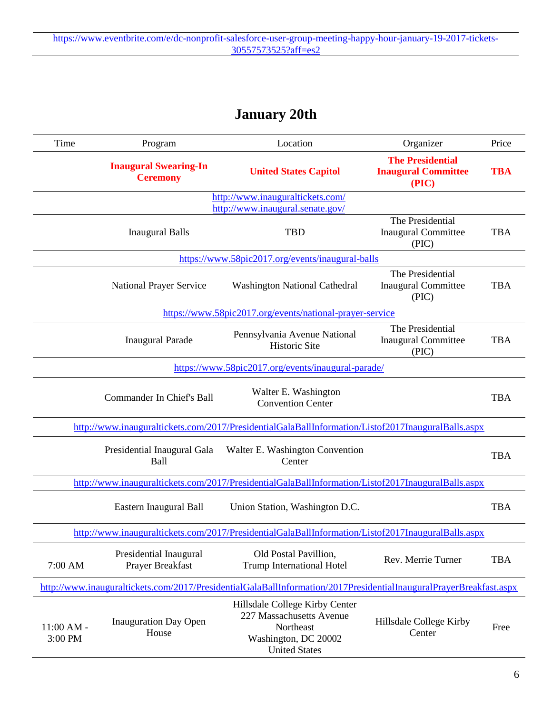## **January 20th**

| Time                    | Location<br>Organizer<br>Program                |                                                                                                                         |                                                                | Price      |
|-------------------------|-------------------------------------------------|-------------------------------------------------------------------------------------------------------------------------|----------------------------------------------------------------|------------|
|                         | <b>Inaugural Swearing-In</b><br><b>Ceremony</b> | <b>United States Capitol</b>                                                                                            | <b>The Presidential</b><br><b>Inaugural Committee</b><br>(PIC) | <b>TBA</b> |
|                         |                                                 | http://www.inauguraltickets.com/<br>http://www.inaugural.senate.gov/                                                    |                                                                |            |
|                         | <b>Inaugural Balls</b>                          | <b>TBD</b>                                                                                                              | The Presidential<br><b>Inaugural Committee</b><br>(PIC)        | <b>TBA</b> |
|                         |                                                 | https://www.58pic2017.org/events/inaugural-balls                                                                        |                                                                |            |
|                         | National Prayer Service                         | <b>Washington National Cathedral</b>                                                                                    | The Presidential<br><b>Inaugural Committee</b><br>(PIC)        | <b>TBA</b> |
|                         |                                                 | https://www.58pic2017.org/events/national-prayer-service                                                                |                                                                |            |
|                         | <b>Inaugural Parade</b>                         | Pennsylvania Avenue National<br>Historic Site                                                                           | The Presidential<br><b>Inaugural Committee</b><br>(PIC)        | <b>TBA</b> |
|                         |                                                 | https://www.58pic2017.org/events/inaugural-parade/                                                                      |                                                                |            |
|                         | Commander In Chief's Ball                       | Walter E. Washington<br><b>Convention Center</b>                                                                        |                                                                | <b>TBA</b> |
|                         |                                                 | http://www.inauguraltickets.com/2017/PresidentialGalaBallInformation/Listof2017InauguralBalls.aspx                      |                                                                |            |
|                         | Presidential Inaugural Gala<br>Ball             | Walter E. Washington Convention<br>Center                                                                               |                                                                | <b>TBA</b> |
|                         |                                                 | http://www.inauguraltickets.com/2017/PresidentialGalaBallInformation/Listof2017InauguralBalls.aspx                      |                                                                |            |
|                         | Eastern Inaugural Ball                          | Union Station, Washington D.C.                                                                                          |                                                                | <b>TBA</b> |
|                         |                                                 | http://www.inauguraltickets.com/2017/PresidentialGalaBallInformation/Listof2017InauguralBalls.aspx                      |                                                                |            |
| 7:00 AM                 | Presidential Inaugural<br>Prayer Breakfast      | Old Postal Pavillion,<br><b>Trump International Hotel</b>                                                               | Rev. Merrie Turner                                             | <b>TBA</b> |
|                         |                                                 | http://www.inauguraltickets.com/2017/PresidentialGalaBallInformation/2017PresidentialInauguralPrayerBreakfast.aspx      |                                                                |            |
| $11:00$ AM -<br>3:00 PM | <b>Inauguration Day Open</b><br>House           | Hillsdale College Kirby Center<br>227 Massachusetts Avenue<br>Northeast<br>Washington, DC 20002<br><b>United States</b> | Hillsdale College Kirby<br>Center                              | Free       |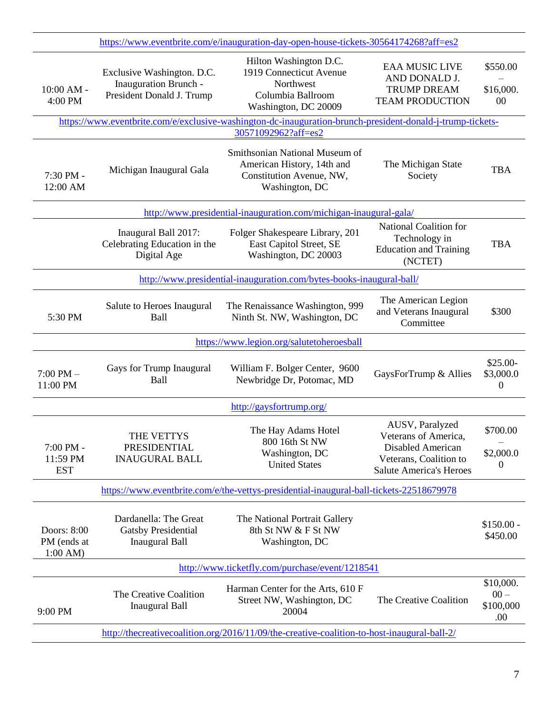| https://www.eventbrite.com/e/inauguration-day-open-house-tickets-30564174268?aff=es2 |                                                                                  |                                                                                                                                             |                                                                                                                          |                                                               |
|--------------------------------------------------------------------------------------|----------------------------------------------------------------------------------|---------------------------------------------------------------------------------------------------------------------------------------------|--------------------------------------------------------------------------------------------------------------------------|---------------------------------------------------------------|
| 10:00 AM -<br>4:00 PM                                                                | Exclusive Washington. D.C.<br>Inauguration Brunch -<br>President Donald J. Trump | Hilton Washington D.C.<br>1919 Connecticut Avenue<br>Northwest<br>Columbia Ballroom<br>Washington, DC 20009                                 | <b>EAA MUSIC LIVE</b><br>AND DONALD J.<br><b>TRUMP DREAM</b><br><b>TEAM PRODUCTION</b>                                   | \$550.00<br>\$16,000.<br>00                                   |
|                                                                                      |                                                                                  | https://www.eventbrite.com/e/exclusive-washington-dc-inauguration-brunch-president-donald-j-trump-tickets-<br>30571092962?aff=es2           |                                                                                                                          |                                                               |
| 7:30 PM -<br>12:00 AM                                                                | Michigan Inaugural Gala                                                          | Smithsonian National Museum of<br>American History, 14th and<br>The Michigan State<br>Constitution Avenue, NW,<br>Society<br>Washington, DC |                                                                                                                          | <b>TBA</b>                                                    |
|                                                                                      |                                                                                  | http://www.presidential-inauguration.com/michigan-inaugural-gala/                                                                           |                                                                                                                          |                                                               |
|                                                                                      | Inaugural Ball 2017:<br>Celebrating Education in the<br>Digital Age              | Folger Shakespeare Library, 201<br>East Capitol Street, SE<br>Washington, DC 20003                                                          | National Coalition for<br>Technology in<br><b>Education and Training</b><br>(NCTET)                                      | <b>TBA</b>                                                    |
|                                                                                      |                                                                                  | http://www.presidential-inauguration.com/bytes-books-inaugural-ball/                                                                        |                                                                                                                          |                                                               |
| 5:30 PM                                                                              | Salute to Heroes Inaugural<br><b>Ball</b>                                        | The Renaissance Washington, 999<br>Ninth St. NW, Washington, DC                                                                             | The American Legion<br>and Veterans Inaugural<br>Committee                                                               | \$300                                                         |
|                                                                                      |                                                                                  | https://www.legion.org/salutetoheroesball                                                                                                   |                                                                                                                          |                                                               |
| $7:00$ PM $-$<br>11:00 PM                                                            | Gays for Trump Inaugural<br><b>Ball</b>                                          | William F. Bolger Center, 9600<br>Newbridge Dr, Potomac, MD                                                                                 | GaysForTrump & Allies                                                                                                    | $$25.00-$<br>\$3,000.0<br>0                                   |
|                                                                                      |                                                                                  | http://gaysfortrump.org/                                                                                                                    |                                                                                                                          |                                                               |
| 7:00 PM -<br>11:59 PM<br><b>EST</b>                                                  | THE VETTYS<br>PRESIDENTIAL<br><b>INAUGURAL BALL</b>                              | The Hay Adams Hotel<br>800 16th St NW<br>Washington, DC<br><b>United States</b>                                                             | AUSV, Paralyzed<br>Veterans of America,<br>Disabled American<br>Veterans, Coalition to<br><b>Salute America's Heroes</b> | \$700.00<br>$\overline{\phantom{0}}$<br>\$2,000.0<br>$\Omega$ |
|                                                                                      |                                                                                  | https://www.eventbrite.com/e/the-vettys-presidential-inaugural-ball-tickets-22518679978                                                     |                                                                                                                          |                                                               |
| Doors: 8:00<br>PM (ends at<br>1:00 AM                                                | Dardanella: The Great<br><b>Gatsby Presidential</b><br><b>Inaugural Ball</b>     | The National Portrait Gallery<br>8th St NW & F St NW<br>Washington, DC                                                                      |                                                                                                                          | $$150.00 -$<br>\$450.00                                       |
|                                                                                      |                                                                                  | http://www.ticketfly.com/purchase/event/1218541                                                                                             |                                                                                                                          |                                                               |
| 9:00 PM                                                                              | The Creative Coalition<br><b>Inaugural Ball</b>                                  | Harman Center for the Arts, 610 F<br>Street NW, Washington, DC<br>20004                                                                     | The Creative Coalition                                                                                                   | \$10,000.<br>$00 -$<br>\$100,000<br>.00.                      |
|                                                                                      |                                                                                  | http://thecreativecoalition.org/2016/11/09/the-creative-coalition-to-host-inaugural-ball-2/                                                 |                                                                                                                          |                                                               |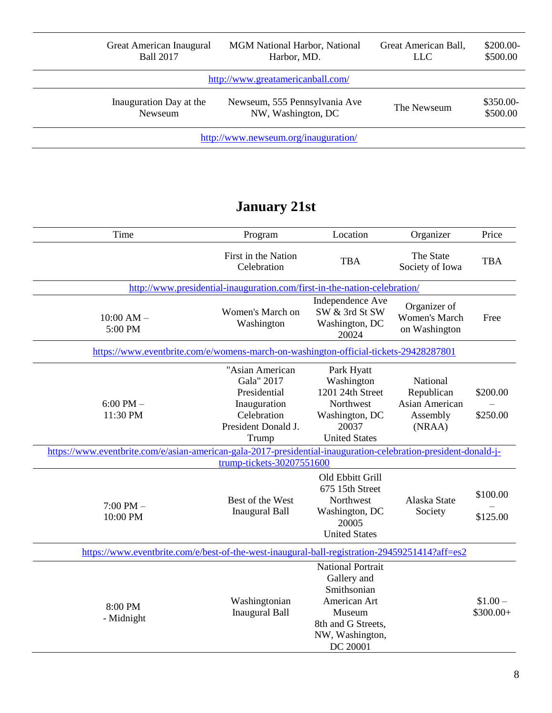|                                      | Great American Inaugural<br><b>Ball 2017</b> | <b>MGM</b> National Harbor, National<br>Harbor, MD. | Great American Ball,<br><b>LLC</b> | $$200.00-$<br>\$500.00 |
|--------------------------------------|----------------------------------------------|-----------------------------------------------------|------------------------------------|------------------------|
|                                      |                                              | http://www.greatamericanball.com/                   |                                    |                        |
|                                      | Inauguration Day at the<br>Newseum           | Newseum, 555 Pennsylvania Ave<br>NW, Washington, DC | The Newseum                        | \$350.00-<br>\$500.00  |
| http://www.newseum.org/inauguration/ |                                              |                                                     |                                    |                        |

## **January 21st**

| Time                                                                                                            | Program                                                                                                      | Location                                                                                                                              | Organizer                                                             | Price                  |
|-----------------------------------------------------------------------------------------------------------------|--------------------------------------------------------------------------------------------------------------|---------------------------------------------------------------------------------------------------------------------------------------|-----------------------------------------------------------------------|------------------------|
|                                                                                                                 | First in the Nation<br>Celebration                                                                           | <b>TBA</b>                                                                                                                            | The State<br>Society of Iowa                                          | <b>TBA</b>             |
|                                                                                                                 | http://www.presidential-inauguration.com/first-in-the-nation-celebration/                                    |                                                                                                                                       |                                                                       |                        |
| $10:00$ AM $-$<br>5:00 PM                                                                                       | Women's March on<br>Washington                                                                               | Independence Ave<br>SW & 3rd St SW<br>Washington, DC<br>20024                                                                         | Organizer of<br><b>Women's March</b><br>on Washington                 | Free                   |
| https://www.eventbrite.com/e/womens-march-on-washington-official-tickets-29428287801                            |                                                                                                              |                                                                                                                                       |                                                                       |                        |
| $6:00$ PM $-$<br>11:30 PM                                                                                       | "Asian American<br>Gala" 2017<br>Presidential<br>Inauguration<br>Celebration<br>President Donald J.<br>Trump | Park Hyatt<br>Washington<br>1201 24th Street<br>Northwest<br>Washington, DC<br>20037<br><b>United States</b>                          | National<br>Republican<br><b>Asian American</b><br>Assembly<br>(NRAA) | \$200.00<br>\$250.00   |
| https://www.eventbrite.com/e/asian-american-gala-2017-presidential-inauguration-celebration-president-donald-j- |                                                                                                              |                                                                                                                                       |                                                                       |                        |
|                                                                                                                 | trump-tickets-30207551600                                                                                    |                                                                                                                                       |                                                                       |                        |
| $7:00$ PM $-$<br>10:00 PM                                                                                       | Best of the West<br><b>Inaugural Ball</b>                                                                    | Old Ebbitt Grill<br>675 15th Street<br>Northwest<br>Washington, DC<br>20005<br><b>United States</b>                                   | Alaska State<br>Society                                               | \$100.00<br>\$125.00   |
| https://www.eventbrite.com/e/best-of-the-west-inaugural-ball-registration-29459251414?aff=es2                   |                                                                                                              |                                                                                                                                       |                                                                       |                        |
| 8:00 PM<br>- Midnight                                                                                           | Washingtonian<br><b>Inaugural Ball</b>                                                                       | <b>National Portrait</b><br>Gallery and<br>Smithsonian<br>American Art<br>Museum<br>8th and G Streets,<br>NW, Washington,<br>DC 20001 |                                                                       | $$1.00-$<br>$$300.00+$ |